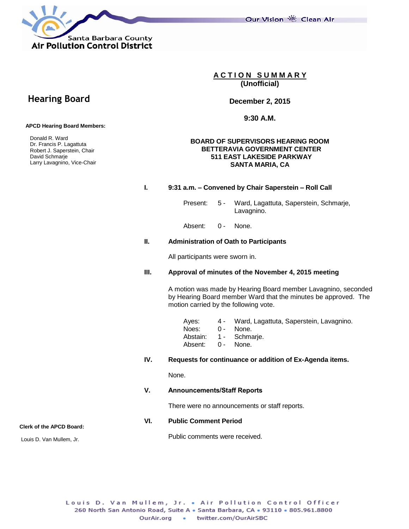Santa Barbara County **Air Pollution Control District** 

Our Vision 卷 Clean Air

**A C T I O N S U M M A R Y (Unofficial)**

**December 2, 2015**

**9:30 A.M.**

## **BOARD OF SUPERVISORS HEARING ROOM BETTERAVIA GOVERNMENT CENTER 511 EAST LAKESIDE PARKWAY SANTA MARIA, CA**

## **I. 9:31 a.m. – Convened by Chair Saperstein – Roll Call**

Present: 5 - Ward, Lagattuta, Saperstein, Schmarje, Lavagnino.

Absent: 0 - None.

## **II. Administration of Oath to Participants**

All participants were sworn in.

## **III. Approval of minutes of the November 4, 2015 meeting**

A motion was made by Hearing Board member Lavagnino, seconded by Hearing Board member Ward that the minutes be approved. The motion carried by the following vote.

| Ayes:             | 4 - Ward, Lagattuta, Saperstein, Lavagnino. |
|-------------------|---------------------------------------------|
| Noes:             | $0 -$ None.                                 |
|                   | Abstain: 1 - Schmarje.                      |
| Absent: 0 - None. |                                             |
|                   |                                             |

## **IV. Requests for continuance or addition of Ex-Agenda items.**

None.

## **V. Announcements/Staff Reports**

Public comments were received.

There were no announcements or staff reports.

## **VI. Public Comment Period**

**Clerk of the APCD Board:** Louis D. Van Mullem, Jr.

> Louis D. Van Mullem, Jr. . Air Pollution Control Officer 260 North San Antonio Road, Suite A . Santa Barbara, CA . 93110 . 805.961.8800 OurAir.org . twitter.com/OurAirSBC

# **Hearing Board**

## **APCD Hearing Board Members:**

 Donald R. Ward Dr. Francis P. Lagattuta Robert J. Saperstein, Chair David Schmarje Larry Lavagnino, Vice-Chair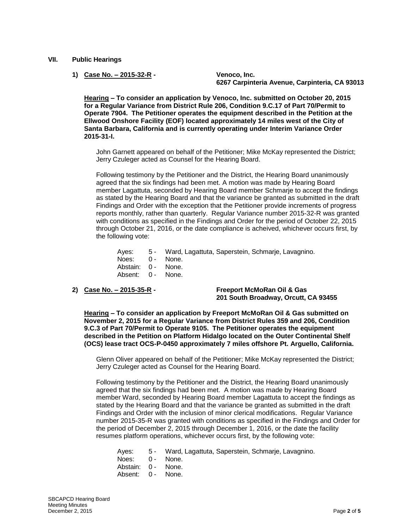- **VII. Public Hearings**
	- **1) Case No. – 2015-32-R - Venoco, Inc.**

**6267 Carpinteria Avenue, Carpinteria, CA 93013**

**Hearing – To consider an application by Venoco, Inc. submitted on October 20, 2015 for a Regular Variance from District Rule 206, Condition 9.C.17 of Part 70/Permit to Operate 7904. The Petitioner operates the equipment described in the Petition at the Ellwood Onshore Facility (EOF) located approximately 14 miles west of the City of Santa Barbara, California and is currently operating under Interim Variance Order 2015-31-I.**

John Garnett appeared on behalf of the Petitioner; Mike McKay represented the District; Jerry Czuleger acted as Counsel for the Hearing Board.

Following testimony by the Petitioner and the District, the Hearing Board unanimously agreed that the six findings had been met. A motion was made by Hearing Board member Lagattuta, seconded by Hearing Board member Schmarje to accept the findings as stated by the Hearing Board and that the variance be granted as submitted in the draft Findings and Order with the exception that the Petitioner provide increments of progress reports monthly, rather than quarterly. Regular Variance number 2015-32-R was granted with conditions as specified in the Findings and Order for the period of October 22, 2015 through October 21, 2016, or the date compliance is acheived, whichever occurs first, by the following vote:

- Ayes: 5 Ward, Lagattuta, Saperstein, Schmarje, Lavagnino.
- Noes: 0 None.
- Abstain: 0 None.
- Absent: 0 None.

**2) Case No. – 2015-35-R - Freeport McMoRan Oil & Gas 201 South Broadway, Orcutt, CA 93455**

**Hearing – To consider an application by Freeport McMoRan Oil & Gas submitted on November 2, 2015 for a Regular Variance from District Rules 359 and 206, Condition 9.C.3 of Part 70/Permit to Operate 9105. The Petitioner operates the equipment described in the Petition on Platform Hidalgo located on the Outer Continental Shelf (OCS) lease tract OCS-P-0450 approximately 7 miles offshore Pt. Arguello, California.**

Glenn Oliver appeared on behalf of the Petitioner; Mike McKay represented the District; Jerry Czuleger acted as Counsel for the Hearing Board.

Following testimony by the Petitioner and the District, the Hearing Board unanimously agreed that the six findings had been met. A motion was made by Hearing Board member Ward, seconded by Hearing Board member Lagattuta to accept the findings as stated by the Hearing Board and that the variance be granted as submitted in the draft Findings and Order with the inclusion of minor clerical modifications. Regular Variance number 2015-35-R was granted with conditions as specified in the Findings and Order for the period of December 2, 2015 through December 1, 2016, or the date the facility resumes platform operations, whichever occurs first, by the following vote:

- Ayes: 5 Ward, Lagattuta, Saperstein, Schmarje, Lavagnino.
- Noes: 0 None.
- Abstain: 0 None.
- Absent: 0 None.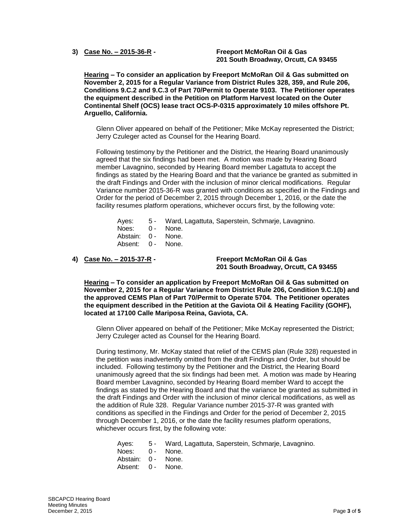**3) Case No. – 2015-36-R - Freeport McMoRan Oil & Gas 201 South Broadway, Orcutt, CA 93455**

**Hearing – To consider an application by Freeport McMoRan Oil & Gas submitted on November 2, 2015 for a Regular Variance from District Rules 328, 359, and Rule 206, Conditions 9.C.2 and 9.C.3 of Part 70/Permit to Operate 9103. The Petitioner operates the equipment described in the Petition on Platform Harvest located on the Outer Continental Shelf (OCS) lease tract OCS-P-0315 approximately 10 miles offshore Pt. Arguello, California.**

Glenn Oliver appeared on behalf of the Petitioner; Mike McKay represented the District; Jerry Czuleger acted as Counsel for the Hearing Board.

Following testimony by the Petitioner and the District, the Hearing Board unanimously agreed that the six findings had been met. A motion was made by Hearing Board member Lavagnino, seconded by Hearing Board member Lagattuta to accept the findings as stated by the Hearing Board and that the variance be granted as submitted in the draft Findings and Order with the inclusion of minor clerical modifications. Regular Variance number 2015-36-R was granted with conditions as specified in the Findings and Order for the period of December 2, 2015 through December 1, 2016, or the date the facility resumes platform operations, whichever occurs first, by the following vote:

Ayes: 5 - Ward, Lagattuta, Saperstein, Schmarje, Lavagnino. Noes: 0 - None. Abstain: 0 - None.

Absent: 0 - None.

**4) Case No. – 2015-37-R - Freeport McMoRan Oil & Gas 201 South Broadway, Orcutt, CA 93455**

**Hearing – To consider an application by Freeport McMoRan Oil & Gas submitted on November 2, 2015 for a Regular Variance from District Rule 206, Condition 9.C.1(b) and the approved CEMS Plan of Part 70/Permit to Operate 5704. The Petitioner operates the equipment described in the Petition at the Gaviota Oil & Heating Facility (GOHF), located at 17100 Calle Mariposa Reina, Gaviota, CA.**

Glenn Oliver appeared on behalf of the Petitioner; Mike McKay represented the District; Jerry Czuleger acted as Counsel for the Hearing Board.

During testimony, Mr. McKay stated that relief of the CEMS plan (Rule 328) requested in the petition was inadvertently omitted from the draft Findings and Order, but should be included. Following testimony by the Petitioner and the District, the Hearing Board unanimously agreed that the six findings had been met. A motion was made by Hearing Board member Lavagnino, seconded by Hearing Board member Ward to accept the findings as stated by the Hearing Board and that the variance be granted as submitted in the draft Findings and Order with the inclusion of minor clerical modifications, as well as the addition of Rule 328. Regular Variance number 2015-37-R was granted with conditions as specified in the Findings and Order for the period of December 2, 2015 through December 1, 2016, or the date the facility resumes platform operations, whichever occurs first, by the following vote:

- Ayes: 5 Ward, Lagattuta, Saperstein, Schmarje, Lavagnino.
- Noes: 0 None.
- Abstain: 0 None.
- Absent: 0 None.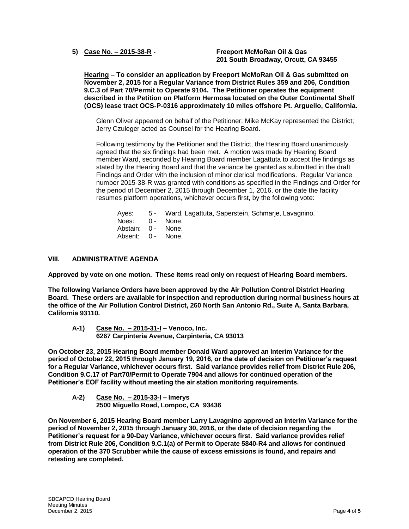**5) Case No. – 2015-38-R - Freeport McMoRan Oil & Gas 201 South Broadway, Orcutt, CA 93455**

**Hearing – To consider an application by Freeport McMoRan Oil & Gas submitted on November 2, 2015 for a Regular Variance from District Rules 359 and 206, Condition 9.C.3 of Part 70/Permit to Operate 9104. The Petitioner operates the equipment described in the Petition on Platform Hermosa located on the Outer Continental Shelf (OCS) lease tract OCS-P-0316 approximately 10 miles offshore Pt. Arguello, California.**

Glenn Oliver appeared on behalf of the Petitioner; Mike McKay represented the District; Jerry Czuleger acted as Counsel for the Hearing Board.

Following testimony by the Petitioner and the District, the Hearing Board unanimously agreed that the six findings had been met. A motion was made by Hearing Board member Ward, seconded by Hearing Board member Lagattuta to accept the findings as stated by the Hearing Board and that the variance be granted as submitted in the draft Findings and Order with the inclusion of minor clerical modifications. Regular Variance number 2015-38-R was granted with conditions as specified in the Findings and Order for the period of December 2, 2015 through December 1, 2016, or the date the facility resumes platform operations, whichever occurs first, by the following vote:

|                    | Ayes: 5 - Ward, Lagattuta, Saperstein, Schmarje, Lavagnino. |
|--------------------|-------------------------------------------------------------|
| Noes: 0 - None.    |                                                             |
| Abstain: 0 - None. |                                                             |
| Absent: 0 - None.  |                                                             |

## **VIII. ADMINISTRATIVE AGENDA**

**Approved by vote on one motion. These items read only on request of Hearing Board members.**

**The following Variance Orders have been approved by the Air Pollution Control District Hearing Board. These orders are available for inspection and reproduction during normal business hours at the office of the Air Pollution Control District, 260 North San Antonio Rd., Suite A, Santa Barbara, California 93110.**

**A-1) Case No. – 2015-31-I – Venoco, Inc. 6267 Carpinteria Avenue, Carpinteria, CA 93013**

**On October 23, 2015 Hearing Board member Donald Ward approved an Interim Variance for the period of October 22, 2015 through January 19, 2016, or the date of decision on Petitioner's request for a Regular Variance, whichever occurs first. Said variance provides relief from District Rule 206, Condition 9.C.17 of Part70/Permit to Operate 7904 and allows for continued operation of the Petitioner's EOF facility without meeting the air station monitoring requirements.**

**A-2) Case No. – 2015-33-I – Imerys 2500 Miguello Road, Lompoc, CA 93436**

**On November 6, 2015 Hearing Board member Larry Lavagnino approved an Interim Variance for the period of November 2, 2015 through January 30, 2016, or the date of decision regarding the Petitioner's request for a 90-Day Variance, whichever occurs first. Said variance provides relief from District Rule 206, Condition 9.C.1(a) of Permit to Operate 5840-R4 and allows for continued operation of the 370 Scrubber while the cause of excess emissions is found, and repairs and retesting are completed.**